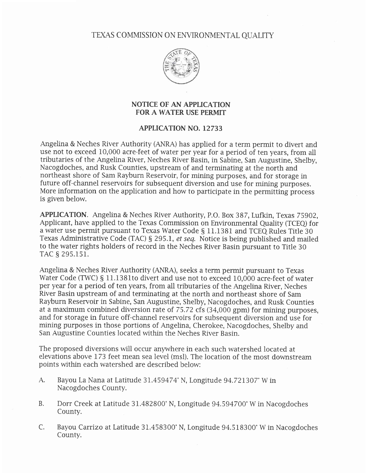TEXAS COMMISSION ON ENVIRONMENTAL QUALITY



## NOTICE OF AN APPLICATION FOR A WATER USE PERMIT

## APPLICATION NO. 12733

Angelina & Neches River Authority (ANRA) has applied for a term permit to divert and use not to exceed 10,000 acre-feet of water per year for a period of ten years, from all tributaries of the Angelina River, Neches River Basin, in Sabine, San Augustine, Shelby, Nacogdoches, and Rusk Counties, upstream of and terminating at the north and northeast shore of Sam Rayburn Reservoir, for mining purposes, and for storage in future off-channel reservoirs for subsequent diversion and use for mining purposes. More information on the application and how to participate in the permitting process is given below.

APPLICATION. Angelina & Neches River Authority, P.O. Box 387, Lufkin, Texas 75902, Applicant, have applied to the Texas Commission on Environmental Quality (TCEQ) for a water use permit pursuant to Texas Water Code § 11.1381 and TCEQ Rules Title 30 Texas Administrative Code (TAC) § 295.1, et seq. Notice is being published and mailed to the water rights holders of record in the Neches River Basin pursuant to Title 30 TAC § 295.151.

Angelina & Neches River Authority (ANRA), seeks a term permit pursuant to Texas Water Code (TWC) § 11.1381to divert and use not to exceed 10,000 acre-feet of water per year for a period of ten years, from aII tributaries of the Angelina River, Neches River Basin upstream of and terminating at the north and northeast shore of Sam Rayburn Reservoir in Sabine, San Augustine, Shelby, Nacogdoches, and Rusk Counties at a maximum combined diversion rate of 75.72 cfs (34,000 gpm) for mining purposes, and for storage in future off-channel reservoirs for subsequent diversion and use for mining purposes in those portions of Angelina, Cherokee, Nacogdoches, Shelby and San Augustine Counties located within the Neches River Basin.

The proposed diversions will occur anywhere in each such watershed located at elevations above L73 feet mean sea level (msl). The location of the most downstream points within each watershed are described below:

- A. Bayou La Nana at Latitude 31.459474' N, Longitude 94.721307'W in Nacogdoches County.
- B. Dorr Creek at Latitude 31.482800" N, Longitude 94.594700'W in Nacogdoches County.
- C. Bayou Carrizo at Latitude 31.458300'N, Longitude 94.518300'W in Nacogdoches County.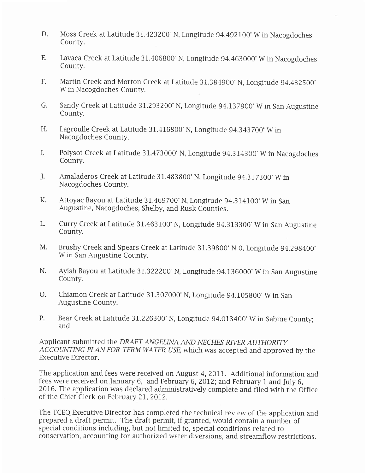- D. Moss Creek at Latitude 3L.423200'N, Longitude 94.492100'W in Nacogdoches County.
- E. Lavaca Creek at Latitude 31.406800'N, Longitude 94.463000'W in Nacogdoches County.
- Martin Creek and Morton Creek at Latitude 31.384900° N, Longitude 94.432500° W in Nacogdoches County. F.
- Sandy Creek at Latitude 31.293200° N, Longitude 94.137900° W in San Augustine County. G.
- Lagroulle Creek at Latitude 3I.4L6800" N, Longitude 94.343 700" W in Nacogdoches County. H.
- Polysot Creek at Latitude 3L.473000'N, Longitude 94.314300"W in Nacogdoches I. County.
- Amaladeros Creek at Latitude 31.483800" N, Longitude 94.317300'W in Nacogdoches County. J.
- Attoyac Bayou at Latitude 31.469700° N, Longitude 94.314100° W in San Augustine, Nacogdoches, Shelby, and Rusk Counties. K.
- Curry Creek at Latitude 31.463100° N, Longitude 94.313300° W in San Augustine County. L.
- Brushy Creek and Spears Creek at Latitude 31.39800'N 0, Longitude 94.298400" W in San Augustine County. M.
- Ayish Bayou at Latitude 31.322200° N, Longitude 94.136000° W in San Augustine County. N.
- Chiamon Creek at Latitude 31.307000' N, Longitude 94.105800'W in San Augustine County. o.
- Bear Creek at Latitude 3I.226300'N, Longitude 94.013400" W in Sabine County; and P.

Applicant submitted the DRAFT ANGELINA AND NECHES RIVER AUTHORITY ACCOUNTING PIAN FOR TERM WATER USE, which was accepted and approved by the Executive Director.

The application and fees were received on August 4, 2011. Additional information and fees were received on January 6, and February 6,20L2; and February I and July 6, 2016. The application was declared administratively complete and filed with the Office of the Chief Clerk on February 2L,2012.

The TCEQ Executive Director has completed the technical review of the application and prepared a draft permit. The draft permit, if granted, would contain a number of special conditions including, but not limited to, special conditions related to conservation, accounting for authorized water diversions, and streamflow restrictions.